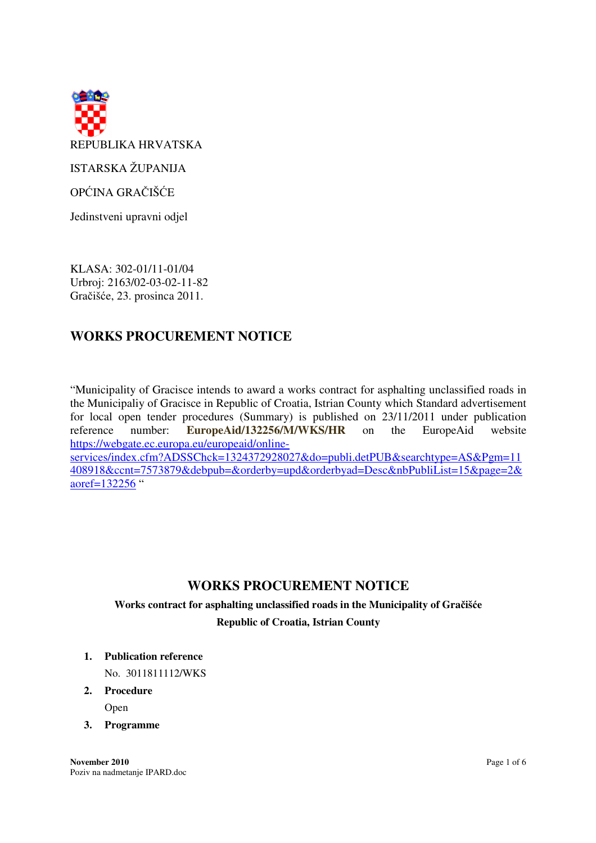

OPĆINA GRAČIŠĆE

Jedinstveni upravni odjel

KLASA: 302-01/11-01/04 Urbroj: 2163/02-03-02-11-82 Gračišće, 23. prosinca 2011.

# **WORKS PROCUREMENT NOTICE**

"Municipality of Gracisce intends to award a works contract for asphalting unclassified roads in the Municipaliy of Gracisce in Republic of Croatia, Istrian County which Standard advertisement for local open tender procedures (Summary) is published on 23/11/2011 under publication reference number: **EuropeAid/132256/M/WKS/HR** on the EuropeAid website https://webgate.ec.europa.eu/europeaid/onlineservices/index.cfm?ADSSChck=1324372928027&do=publi.detPUB&searchtype=AS&Pgm=11

408918&ccnt=7573879&debpub=&orderby=upd&orderbyad=Desc&nbPubliList=15&page=2& aoref=132256 "

# **WORKS PROCUREMENT NOTICE**

# **Works contract for asphalting unclassified roads in the Municipality of Gra**č**iš**ć**e**

**Republic of Croatia, Istrian County**

**1. Publication reference** 

No. 3011811112/WKS

**2. Procedure** 

Open

**3. Programme**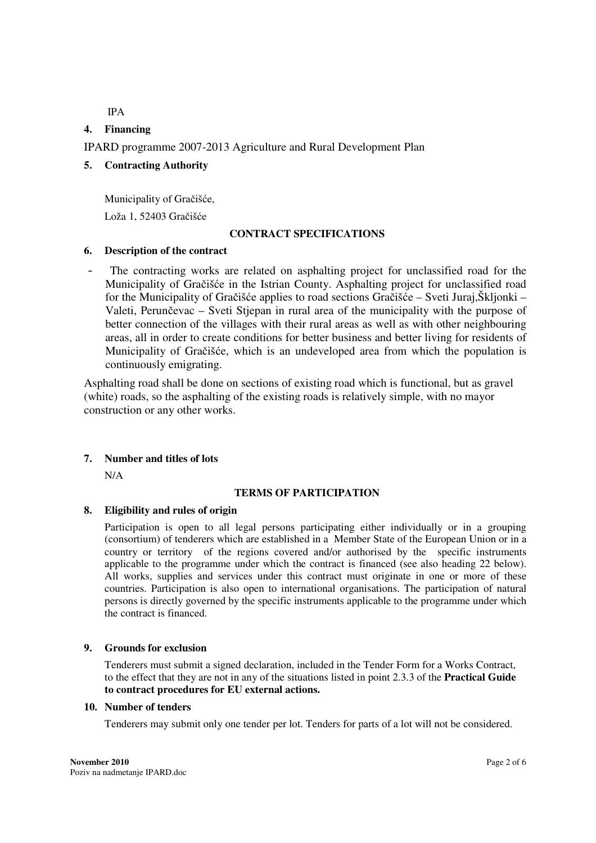IPA

# **4. Financing**

IPARD programme 2007-2013 Agriculture and Rural Development Plan

# **5. Contracting Authority**

Municipality of Gračišće, Loža 1, 52403 Gračišće

### **CONTRACT SPECIFICATIONS**

### **6. Description of the contract**

The contracting works are related on asphalting project for unclassified road for the Municipality of Gračišće in the Istrian County. Asphalting project for unclassified road for the Municipality of Gračišće applies to road sections Gračišće – Sveti Juraj,Škljonki – Valeti, Perunčevac – Sveti Stjepan in rural area of the municipality with the purpose of better connection of the villages with their rural areas as well as with other neighbouring areas, all in order to create conditions for better business and better living for residents of Municipality of Gračišće, which is an undeveloped area from which the population is continuously emigrating.

Asphalting road shall be done on sections of existing road which is functional, but as gravel (white) roads, so the asphalting of the existing roads is relatively simple, with no mayor construction or any other works.

# **7. Number and titles of lots**

N/A

# **TERMS OF PARTICIPATION**

# **8. Eligibility and rules of origin**

Participation is open to all legal persons participating either individually or in a grouping (consortium) of tenderers which are established in a Member State of the European Union or in a country or territory of the regions covered and/or authorised by the specific instruments applicable to the programme under which the contract is financed (see also heading 22 below). All works, supplies and services under this contract must originate in one or more of these countries. Participation is also open to international organisations. The participation of natural persons is directly governed by the specific instruments applicable to the programme under which the contract is financed.

# **9. Grounds for exclusion**

Tenderers must submit a signed declaration, included in the Tender Form for a Works Contract, to the effect that they are not in any of the situations listed in point 2.3.3 of the **Practical Guide to contract procedures for EU external actions.**

### **10. Number of tenders**

Tenderers may submit only one tender per lot. Tenders for parts of a lot will not be considered.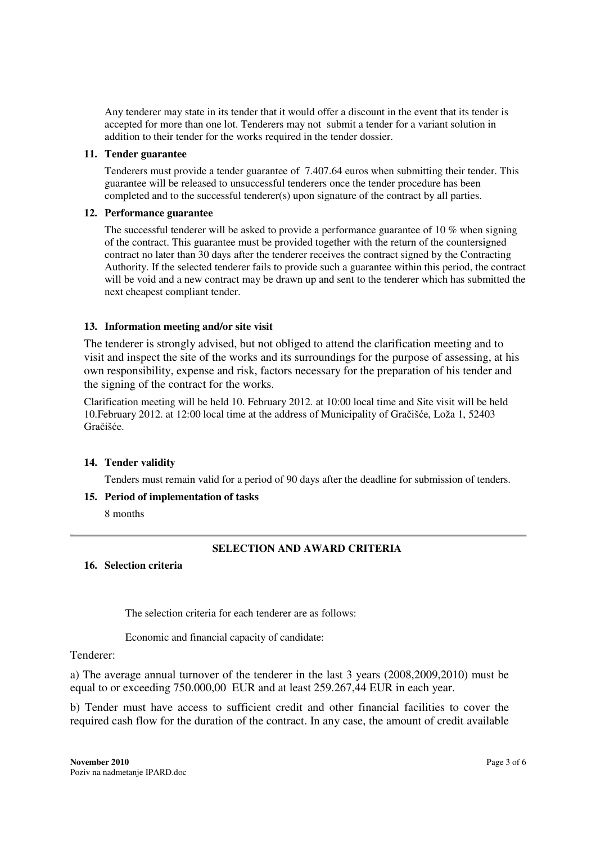Any tenderer may state in its tender that it would offer a discount in the event that its tender is accepted for more than one lot. Tenderers may not submit a tender for a variant solution in addition to their tender for the works required in the tender dossier.

# **11. Tender guarantee**

Tenderers must provide a tender guarantee of 7.407.64 euros when submitting their tender. This guarantee will be released to unsuccessful tenderers once the tender procedure has been completed and to the successful tenderer(s) upon signature of the contract by all parties.

### **12. Performance guarantee**

The successful tenderer will be asked to provide a performance guarantee of 10  $\%$  when signing of the contract. This guarantee must be provided together with the return of the countersigned contract no later than 30 days after the tenderer receives the contract signed by the Contracting Authority. If the selected tenderer fails to provide such a guarantee within this period, the contract will be void and a new contract may be drawn up and sent to the tenderer which has submitted the next cheapest compliant tender.

# **13. Information meeting and/or site visit**

The tenderer is strongly advised, but not obliged to attend the clarification meeting and to visit and inspect the site of the works and its surroundings for the purpose of assessing, at his own responsibility, expense and risk, factors necessary for the preparation of his tender and the signing of the contract for the works.

Clarification meeting will be held 10. February 2012. at 10:00 local time and Site visit will be held 10.February 2012. at 12:00 local time at the address of Municipality of Gračišće, Loža 1, 52403 Gračišće.

# **14. Tender validity**

Tenders must remain valid for a period of 90 days after the deadline for submission of tenders.

**15. Period of implementation of tasks** 

8 months

# **SELECTION AND AWARD CRITERIA**

### **16. Selection criteria**

The selection criteria for each tenderer are as follows:

Economic and financial capacity of candidate:

### Tenderer:

a) The average annual turnover of the tenderer in the last 3 years (2008,2009,2010) must be equal to or exceeding 750.000,00 EUR and at least 259.267,44 EUR in each year.

b) Tender must have access to sufficient credit and other financial facilities to cover the required cash flow for the duration of the contract. In any case, the amount of credit available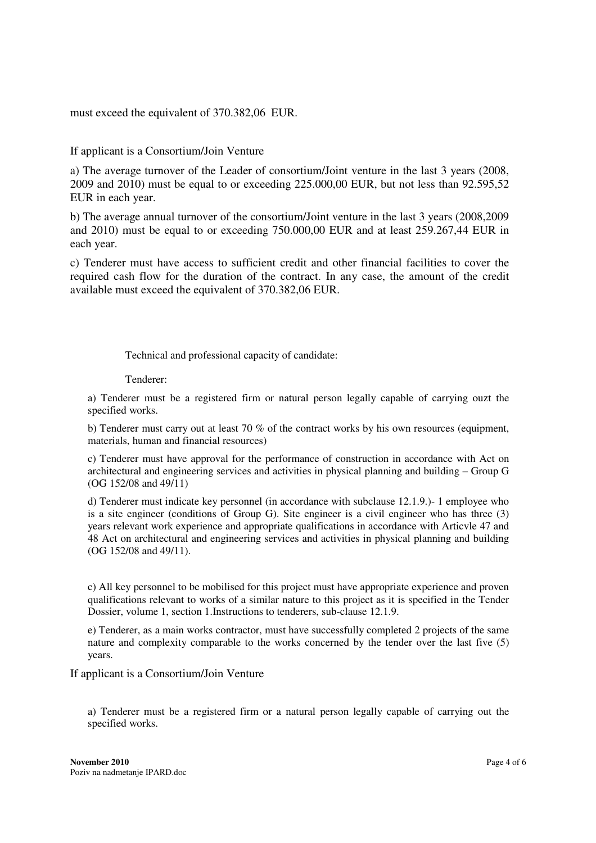must exceed the equivalent of 370.382,06 EUR.

If applicant is a Consortium/Join Venture

a) The average turnover of the Leader of consortium/Joint venture in the last 3 years (2008, 2009 and 2010) must be equal to or exceeding 225.000,00 EUR, but not less than 92.595,52 EUR in each year.

b) The average annual turnover of the consortium/Joint venture in the last 3 years (2008,2009 and 2010) must be equal to or exceeding 750.000,00 EUR and at least 259.267,44 EUR in each year.

c) Tenderer must have access to sufficient credit and other financial facilities to cover the required cash flow for the duration of the contract. In any case, the amount of the credit available must exceed the equivalent of 370.382,06 EUR.

Technical and professional capacity of candidate:

Tenderer:

a) Tenderer must be a registered firm or natural person legally capable of carrying ouzt the specified works.

b) Tenderer must carry out at least 70 % of the contract works by his own resources (equipment, materials, human and financial resources)

c) Tenderer must have approval for the performance of construction in accordance with Act on architectural and engineering services and activities in physical planning and building – Group G (OG 152/08 and 49/11)

d) Tenderer must indicate key personnel (in accordance with subclause 12.1.9.)- 1 employee who is a site engineer (conditions of Group G). Site engineer is a civil engineer who has three (3) years relevant work experience and appropriate qualifications in accordance with Articvle 47 and 48 Act on architectural and engineering services and activities in physical planning and building (OG 152/08 and 49/11).

c) All key personnel to be mobilised for this project must have appropriate experience and proven qualifications relevant to works of a similar nature to this project as it is specified in the Tender Dossier, volume 1, section 1.Instructions to tenderers, sub-clause 12.1.9.

e) Tenderer, as a main works contractor, must have successfully completed 2 projects of the same nature and complexity comparable to the works concerned by the tender over the last five (5) years.

If applicant is a Consortium/Join Venture

a) Tenderer must be a registered firm or a natural person legally capable of carrying out the specified works.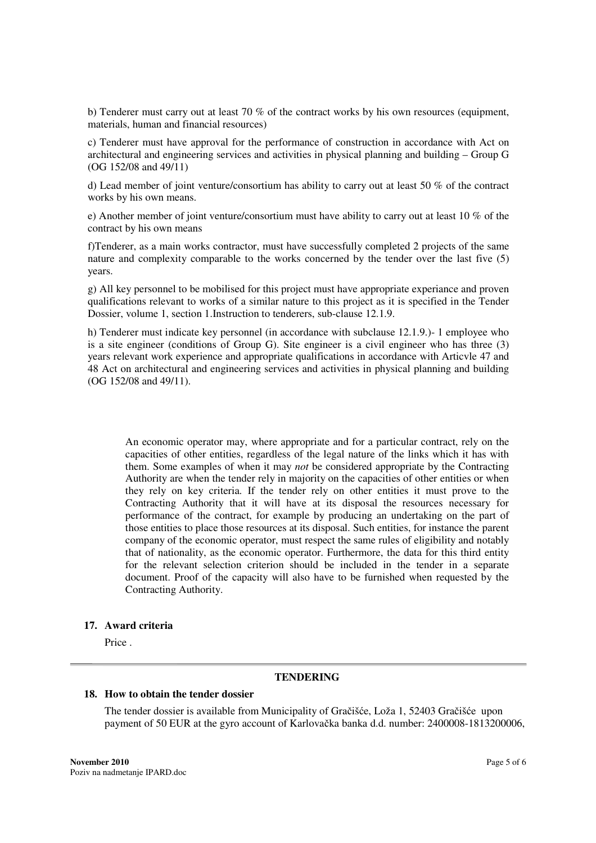b) Tenderer must carry out at least 70 % of the contract works by his own resources (equipment, materials, human and financial resources)

c) Tenderer must have approval for the performance of construction in accordance with Act on architectural and engineering services and activities in physical planning and building – Group G (OG 152/08 and 49/11)

d) Lead member of joint venture/consortium has ability to carry out at least 50 % of the contract works by his own means.

e) Another member of joint venture/consortium must have ability to carry out at least 10 % of the contract by his own means

f)Tenderer, as a main works contractor, must have successfully completed 2 projects of the same nature and complexity comparable to the works concerned by the tender over the last five (5) years.

g) All key personnel to be mobilised for this project must have appropriate experiance and proven qualifications relevant to works of a similar nature to this project as it is specified in the Tender Dossier, volume 1, section 1.Instruction to tenderers, sub-clause 12.1.9.

h) Tenderer must indicate key personnel (in accordance with subclause 12.1.9.)- 1 employee who is a site engineer (conditions of Group G). Site engineer is a civil engineer who has three (3) years relevant work experience and appropriate qualifications in accordance with Articvle 47 and 48 Act on architectural and engineering services and activities in physical planning and building (OG 152/08 and 49/11).

An economic operator may, where appropriate and for a particular contract, rely on the capacities of other entities, regardless of the legal nature of the links which it has with them. Some examples of when it may *not* be considered appropriate by the Contracting Authority are when the tender rely in majority on the capacities of other entities or when they rely on key criteria. If the tender rely on other entities it must prove to the Contracting Authority that it will have at its disposal the resources necessary for performance of the contract, for example by producing an undertaking on the part of those entities to place those resources at its disposal. Such entities, for instance the parent company of the economic operator, must respect the same rules of eligibility and notably that of nationality, as the economic operator. Furthermore, the data for this third entity for the relevant selection criterion should be included in the tender in a separate document. Proof of the capacity will also have to be furnished when requested by the Contracting Authority.

### **17. Award criteria**

Price .

#### **TENDERING**

### **18. How to obtain the tender dossier**

The tender dossier is available from Municipality of Gračišće, Loža 1, 52403 Gračišće upon payment of 50 EUR at the gyro account of Karlovačka banka d.d. number: 2400008-1813200006,